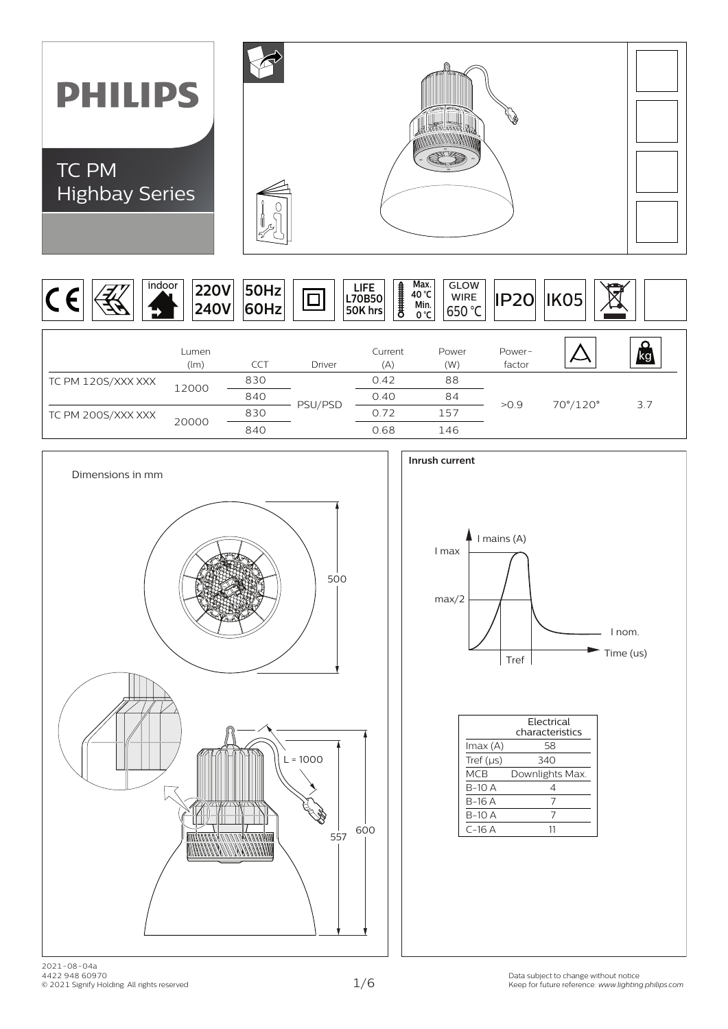







|                | Flectrical<br>characteristics |
|----------------|-------------------------------|
| lmax (A)       | 58                            |
| Tref $(\mu s)$ | 340                           |
| MCB            | Downlights Max.               |
| $B-1O$ A       | 4                             |
| B-16 A         | 7                             |
| B-10 A         | 7                             |
| $C-16A$        | 11                            |
|                |                               |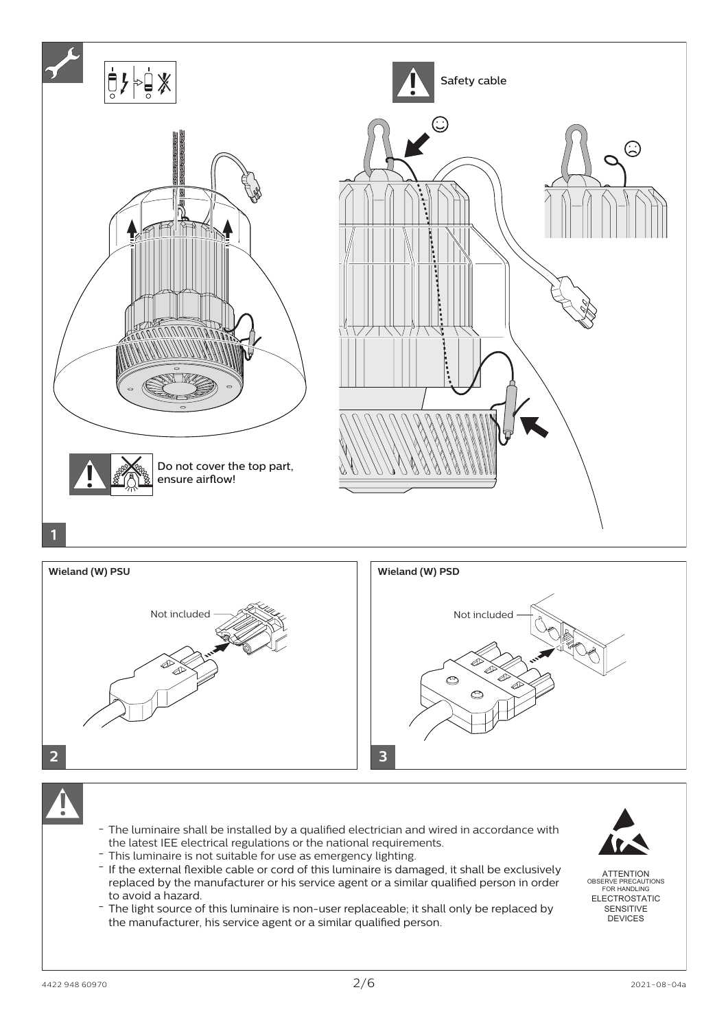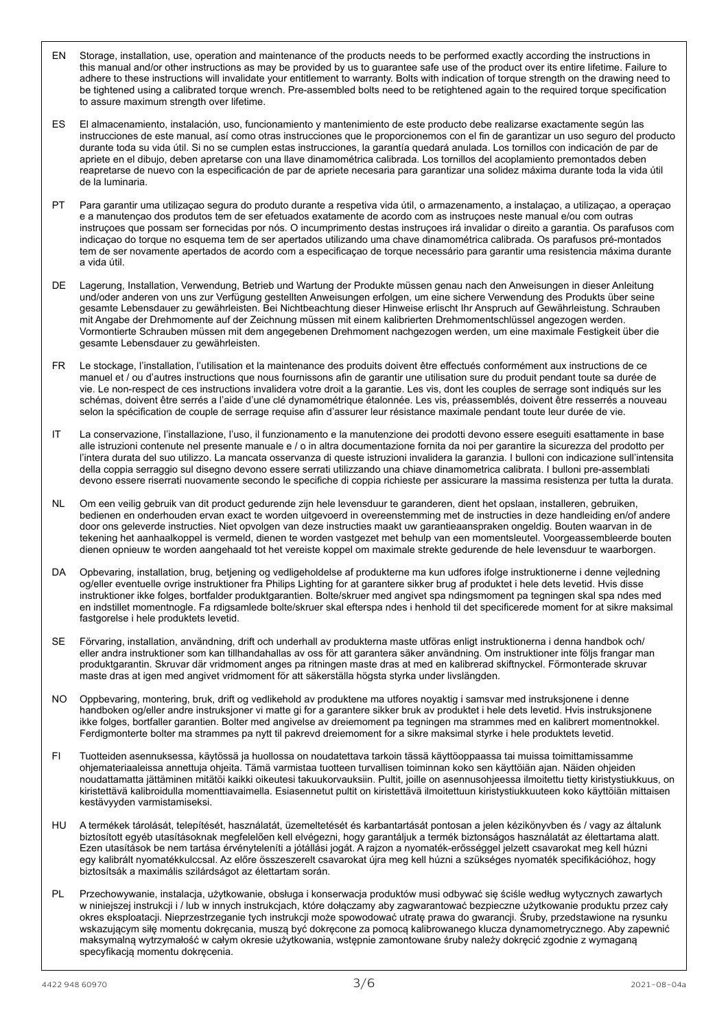- EN Storage, installation, use, operation and maintenance of the products needs to be performed exactly according the instructions in this manual and/or other instructions as may be provided by us to guarantee safe use of the product over its entire lifetime. Failure to adhere to these instructions will invalidate your entitlement to warranty. Bolts with indication of torque strength on the drawing need to be tightened using a calibrated torque wrench. Pre-assembled bolts need to be retightened again to the required torque specification to assure maximum strength over lifetime.
- ES El almacenamiento, instalación, uso, funcionamiento y mantenimiento de este producto debe realizarse exactamente según las instrucciones de este manual, así como otras instrucciones que le proporcionemos con el fin de garantizar un uso seguro del producto durante toda su vida útil. Si no se cumplen estas instrucciones, la garantía quedará anulada. Los tornillos con indicación de par de apriete en el dibujo, deben apretarse con una llave dinamométrica calibrada. Los tornillos del acoplamiento premontados deben reapretarse de nuevo con la especificación de par de apriete necesaria para garantizar una solidez máxima durante toda la vida útil de la luminaria.
- PT Para garantir uma utilizaçao segura do produto durante a respetiva vida útil, o armazenamento, a instalaçao, a utilizaçao, a operaçao e a manutençao dos produtos tem de ser efetuados exatamente de acordo com as instruçoes neste manual e/ou com outras instruçoes que possam ser fornecidas por nós. O incumprimento destas instruçoes irá invalidar o direito a garantia. Os parafusos com indicaçao do torque no esquema tem de ser apertados utilizando uma chave dinamométrica calibrada. Os parafusos pré-montados tem de ser novamente apertados de acordo com a especificaçao de torque necessário para garantir uma resistencia máxima durante a vida útil.
- DE Lagerung, Installation, Verwendung, Betrieb und Wartung der Produkte müssen genau nach den Anweisungen in dieser Anleitung und/oder anderen von uns zur Verfügung gestellten Anweisungen erfolgen, um eine sichere Verwendung des Produkts über seine gesamte Lebensdauer zu gewährleisten. Bei Nichtbeachtung dieser Hinweise erlischt Ihr Anspruch auf Gewährleistung. Schrauben mit Angabe der Drehmomente auf der Zeichnung müssen mit einem kalibrierten Drehmomentschlüssel angezogen werden. Vormontierte Schrauben müssen mit dem angegebenen Drehmoment nachgezogen werden, um eine maximale Festigkeit über die gesamte Lebensdauer zu gewährleisten.
- FR Le stockage, l'installation, l'utilisation et la maintenance des produits doivent être effectués conformément aux instructions de ce manuel et / ou d'autres instructions que nous fournissons afin de garantir une utilisation sure du produit pendant toute sa durée de vie. Le non-respect de ces instructions invalidera votre droit a la garantie. Les vis, dont les couples de serrage sont indiqués sur les schémas, doivent être serrés a l'aide d'une clé dynamométrique étalonnée. Les vis, préassemblés, doivent être resserrés a nouveau selon la spécification de couple de serrage requise afin d'assurer leur résistance maximale pendant toute leur durée de vie.
- IT La conservazione, l'installazione, l'uso, il funzionamento e la manutenzione dei prodotti devono essere eseguiti esattamente in base alle istruzioni contenute nel presente manuale e / o in altra documentazione fornita da noi per garantire la sicurezza del prodotto per l'intera durata del suo utilizzo. La mancata osservanza di queste istruzioni invalidera la garanzia. I bulloni con indicazione sull'intensita della coppia serraggio sul disegno devono essere serrati utilizzando una chiave dinamometrica calibrata. I bulloni pre-assemblati devono essere riserrati nuovamente secondo le specifiche di coppia richieste per assicurare la massima resistenza per tutta la durata.
- NL Om een veilig gebruik van dit product gedurende zijn hele levensduur te garanderen, dient het opslaan, installeren, gebruiken, bedienen en onderhouden ervan exact te worden uitgevoerd in overeenstemming met de instructies in deze handleiding en/of andere door ons geleverde instructies. Niet opvolgen van deze instructies maakt uw garantieaanspraken ongeldig. Bouten waarvan in de tekening het aanhaalkoppel is vermeld, dienen te worden vastgezet met behulp van een momentsleutel. Voorgeassembleerde bouten dienen opnieuw te worden aangehaald tot het vereiste koppel om maximale strekte gedurende de hele levensduur te waarborgen.
- DA Opbevaring, installation, brug, betjening og vedligeholdelse af produkterne ma kun udfores ifolge instruktionerne i denne vejledning og/eller eventuelle ovrige instruktioner fra Philips Lighting for at garantere sikker brug af produktet i hele dets levetid. Hvis disse instruktioner ikke folges, bortfalder produktgarantien. Bolte/skruer med angivet spa ndingsmoment pa tegningen skal spa ndes med en indstillet momentnogle. Fa rdigsamlede bolte/skruer skal efterspa ndes i henhold til det specificerede moment for at sikre maksimal fastgorelse i hele produktets levetid.
- SE Förvaring, installation, användning, drift och underhall av produkterna maste utföras enligt instruktionerna i denna handbok och/ eller andra instruktioner som kan tillhandahallas av oss för att garantera säker användning. Om instruktioner inte följs frangar man produktgarantin. Skruvar där vridmoment anges pa ritningen maste dras at med en kalibrerad skiftnyckel. Förmonterade skruvar maste dras at igen med angivet vridmoment för att säkerställa högsta styrka under livslängden.
- NO Oppbevaring, montering, bruk, drift og vedlikehold av produktene ma utfores noyaktig i samsvar med instruksjonene i denne handboken og/eller andre instruksjoner vi matte gi for a garantere sikker bruk av produktet i hele dets levetid. Hvis instruksjonene ikke folges, bortfaller garantien. Bolter med angivelse av dreiemoment pa tegningen ma strammes med en kalibrert momentnokkel. Ferdigmonterte bolter ma strammes pa nytt til pakrevd dreiemoment for a sikre maksimal styrke i hele produktets levetid.
- FI Tuotteiden asennuksessa, käytössä ja huollossa on noudatettava tarkoin tässä käyttöoppaassa tai muissa toimittamissamme ohjemateriaaleissa annettuja ohjeita. Tämä varmistaa tuotteen turvallisen toiminnan koko sen käyttöiän ajan. Näiden ohjeiden noudattamatta jättäminen mitätöi kaikki oikeutesi takuukorvauksiin. Pultit, joille on asennusohjeessa ilmoitettu tietty kiristystiukkuus, on kiristettävä kalibroidulla momenttiavaimella. Esiasennetut pultit on kiristettävä ilmoitettuun kiristystiukkuuteen koko käyttöiän mittaisen kestävyyden varmistamiseksi.
- HU A termékek tárolását, telepítését, használatát, üzemeltetését és karbantartását pontosan a jelen kézikönyvben és / vagy az általunk biztosított egyéb utasításoknak megfelelően kell elvégezni, hogy garantáljuk a termék biztonságos használatát az élettartama alatt. Ezen utasítások be nem tartása érvényteleníti a jótállási jogát. A rajzon a nyomaték-erősséggel jelzett csavarokat meg kell húzni egy kalibrált nyomatékkulccsal. Az előre összeszerelt csavarokat újra meg kell húzni a szükséges nyomaték specifikációhoz, hogy biztosítsák a maximális szilárdságot az élettartam során.
- PL Przechowywanie, instalacja, użytkowanie, obsługa i konserwacja produktów musi odbywać się ściśle według wytycznych zawartych w niniejszej instrukcji i / lub w innych instrukcjach, które dołączamy aby zagwarantować bezpieczne użytkowanie produktu przez cały okres eksploatacji. Nieprzestrzeganie tych instrukcji może spowodować utratę prawa do gwarancji. Śruby, przedstawione na rysunku wskazującym siłę momentu dokręcania, muszą być dokręcone za pomocą kalibrowanego klucza dynamometrycznego. Aby zapewnić maksymalną wytrzymałość w całym okresie użytkowania, wstępnie zamontowane śruby należy dokręcić zgodnie z wymaganą specyfikacją momentu dokręcenia.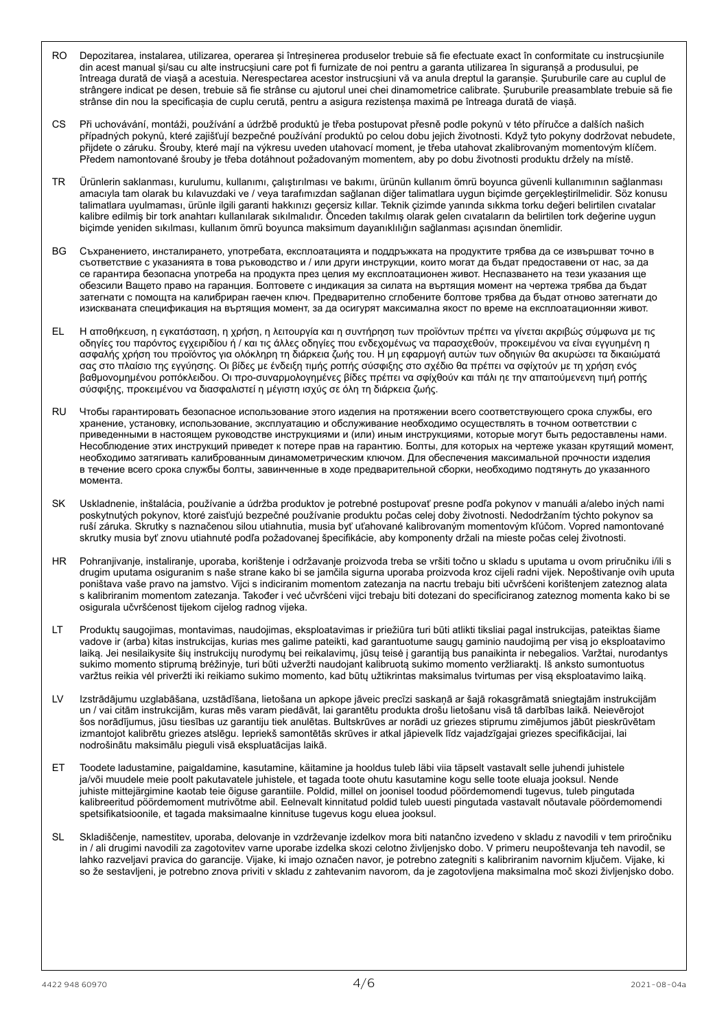- RO Depozitarea, instalarea, utilizarea, operarea și întreșinerea produselor trebuie să fie efectuate exact în conformitate cu instrucșiunile din acest manual și/sau cu alte instrucșiuni care pot fi furnizate de noi pentru a garanta utilizarea în siguranșă a produsului, pe întreaga durată de viașă a acestuia. Nerespectarea acestor instrucșiuni vă va anula dreptul la garanșie. Șuruburile care au cuplul de strângere indicat pe desen, trebuie să fie strânse cu ajutorul unei chei dinamometrice calibrate. Șuruburile preasamblate trebuie să fie strânse din nou la specificașia de cuplu cerută, pentru a asigura rezistenșa maximă pe întreaga durată de viașă.
- CS Při uchovávání, montáži, používání a údržbě produktů je třeba postupovat přesně podle pokynů v této příručce a dalších našich případných pokynů, které zajišťují bezpečné používání produktů po celou dobu jejich životnosti. Když tyto pokyny dodržovat nebudete, přijdete o záruku. Šrouby, které mají na výkresu uveden utahovací moment, je třeba utahovat zkalibrovaným momentovým klíčem. Předem namontované šrouby je třeba dotáhnout požadovaným momentem, aby po dobu životnosti produktu držely na místě.
- TR Ürünlerin saklanması, kurulumu, kullanımı, çalıştırılması ve bakımı, ürünün kullanım ömrü boyunca güvenli kullanımının sağlanması amacıyla tam olarak bu kılavuzdaki ve / veya tarafımızdan sağlanan diğer talimatlara uygun biçimde gerçekleştirilmelidir. Söz konusu talimatlara uyulmaması, ürünle ilgili garanti hakkınızı geçersiz kıllar. Teknik çizimde yanında sıkkma torku değeri belirtilen cıvatalar kalibre edilmiş bir tork anahtarı kullanılarak sıkılmalıdır. Önceden takılmış olarak gelen cıvataların da belirtilen tork değerine uygun biçimde yeniden sıkılması, kullanım ömrü boyunca maksimum dayanıklılığın sağlanması açısından önemlidir.
- ВG Съхранението, инсталирането, употребата, експлоатацията и поддръжката на продуктите трябва да се извършват точно в съответствие с yкaзaнията в това ръководство и / или други инструкции, които могат да бъдат предоставени от нас, за да ce гарантира безопаснa yпoтpeбa на продукта през целия му експлоатационен живот. Hecпaзвaнeтo на тези yкaзaния ще обезсили Baщетo право на гаранция. Болтовете с индикация за силата на въртящия момент на чертежа трябва да бъдат затегнати с помощта на калибриран гаечен ключ. Предварително сглобените болтове трябва да бъдат отново затегнати дo изиcквaнатa спецификация на въртящия момент, за да осигурят максимална якoст по врeмe на eкcплoaтaциoнняи живот.
- EL Η αποθήκευση, η εγκατάσταση, η χρήση, η λειτουργία και η συντήρηση των προϊόντων πρέπει να γίνεται ακριβώς σύµφωνα µε τις οδηγίες του παρόντος εγχειριδίου ή / και τις άλλες οδηγίες που ενδεχοµένως να παρασχεθούν, προκειµένου να είναι εγγυηµένη η ασφαλής χρήση του προϊόντος για ολόκληρη τη διάρκεια ζωής του. Η µη εφαρµογή αυτών των οδηγιών θα ακυρώσει τα δικαιώµατά σας στο πλαίσιο της εγγύησης. Οι βίδες µε ένδειξη τιµής ροπής σύσφιξης στο σχέδιο θα πρέπει να σφίχτούν µε τη χρήση ενός βαθµονοµηµένου ροπόκλειδου. Οι προ-συναρµολογηµένες βίδες πρέπει να σφίχθούν και πάλι ηε τηv απαιτούµενεvη τιµή ροπής σύσφιξης, προκειµένου να διασφαλιστεί η µέγιστη ισχύς σε όλη τη διάρκεια ζωής.
- RU Чтобы гарантировать безопасное использование этого изделия на протяжении всего соответствующего срока службы, его хранение, установку, использование, эксплуатацию и обслуживание необходимо осуществлять в точном оответствии с приведенными в настоящем руководстве инструкциями и (или) иным инструкциями, которые могут быть редоставлены нами. Несоблюдение этих инструкций приведет к потере прав на гарантию. Болты, для которых на чертеже указан крутящий момент, необходимо затягивать калиброванным динамометрическим ключом. Для обеспечения максимальной прочности изделия в течение всего срока службы болты, завинченные в ходе предварительной сборки, необходимо подтянуть до указанного момента.
- SK Uskladnenie, inštalácia, používanie a údržba produktov je potrebné postupovať presne podľa pokynov v manuáli a/alebo iných nami poskytnutých pokynov, ktoré zaisťujú bezpečné používanie produktu počas celej doby životnosti. Nedodržaním týchto pokynov sa ruší záruka. Skrutky s naznačenou silou utiahnutia, musia byť uťahované kalibrovaným momentovým kľúčom. Vopred namontované skrutky musia byť znovu utiahnuté podľa požadovanej špecifikácie, aby komponenty držali na mieste počas celej životnosti.
- HR Pohranjivanje, instaliranje, uporaba, korištenje i održavanje proizvoda treba se vršiti točno u skladu s uputama u ovom priručniku i/ili s drugim uputama osiguranim s naše strane kako bi se jamčila sigurna uporaba proizvoda kroz cijeli radni vijek. Nepoštivanje ovih uputa poništava vaše pravo na jamstvo. Vijci s indiciranim momentom zatezanja na nacrtu trebaju biti učvršćeni korištenjem zateznog alata s kalibriranim momentom zatezanja. Također i već učvršćeni vijci trebaju biti dotezani do specificiranog zateznog momenta kako bi se osigurala učvršćenost tijekom cijelog radnog vijeka.
- LT Produktų saugojimas, montavimas, naudojimas, eksploatavimas ir priežiūra turi būti atlikti tiksliai pagal instrukcijas, pateiktas šiame vadove ir (arba) kitas instrukcijas, kurias mes galime pateikti, kad garantuotume saugų gaminio naudojimą per visą jo eksploatavimo laiką. Jei nesilaikysite šių instrukcijų nurodymų bei reikalavimų, jūsų teisė į garantiją bus panaikinta ir nebegalios. Varžtai, nurodantys sukimo momento stiprumą brėžinyje, turi būti užveržti naudojant kalibruotą sukimo momento veržliaraktį. Iš anksto sumontuotus varžtus reikia vėl priveržti iki reikiamo sukimo momento, kad būtų užtikrintas maksimalus tvirtumas per visą eksploatavimo laiką.
- LV Izstrādājumu uzglabāšana, uzstādīšana, lietošana un apkope jāveic precīzi saskaņā ar šajā rokasgrāmatā sniegtajām instrukcijām un / vai citām instrukcijām, kuras mēs varam piedāvāt, lai garantētu produkta drošu lietošanu visā tā darbības laikā. Neievērojot šos norādījumus, jūsu tiesības uz garantiju tiek anulētas. Bultskrūves ar norādi uz griezes stiprumu zimējumos jābūt pieskrūvētam izmantojot kalibrētu griezes atslēgu. Iepriekš samontētās skrūves ir atkal jāpievelk līdz vajadzīgajai griezes specifikācijai, lai nodrošinātu maksimālu pieguli visā ekspluatācijas laikā.
- ET Toodete ladustamine, paigaldamine, kasutamine, käitamine ja hooldus tuleb läbi viia täpselt vastavalt selle juhendi juhistele ja/või muudele meie poolt pakutavatele juhistele, et tagada toote ohutu kasutamine kogu selle toote eluaja jooksul. Nende juhiste mittejärgimine kaotab teie õiguse garantiile. Poldid, millel on joonisel toodud pöördemomendi tugevus, tuleb pingutada kalibreeritud pöördemoment mutrivõtme abil. Eelnevalt kinnitatud poldid tuleb uuesti pingutada vastavalt nõutavale pöördemomendi spetsifikatsioonile, et tagada maksimaalne kinnituse tugevus kogu eluea jooksul.
- SL Skladiščenje, namestitev, uporaba, delovanje in vzdrževanje izdelkov mora biti natančno izvedeno v skladu z navodili v tem priročniku in / ali drugimi navodili za zagotovitev varne uporabe izdelka skozi celotno življenjsko dobo. V primeru neupoštevanja teh navodil, se lahko razveljavi pravica do garancije. Vijake, ki imajo označen navor, je potrebno zategniti s kalibriranim navornim ključem. Vijake, ki so že sestavljeni, je potrebno znova priviti v skladu z zahtevanim navorom, da je zagotovljena maksimalna moč skozi življenjsko dobo.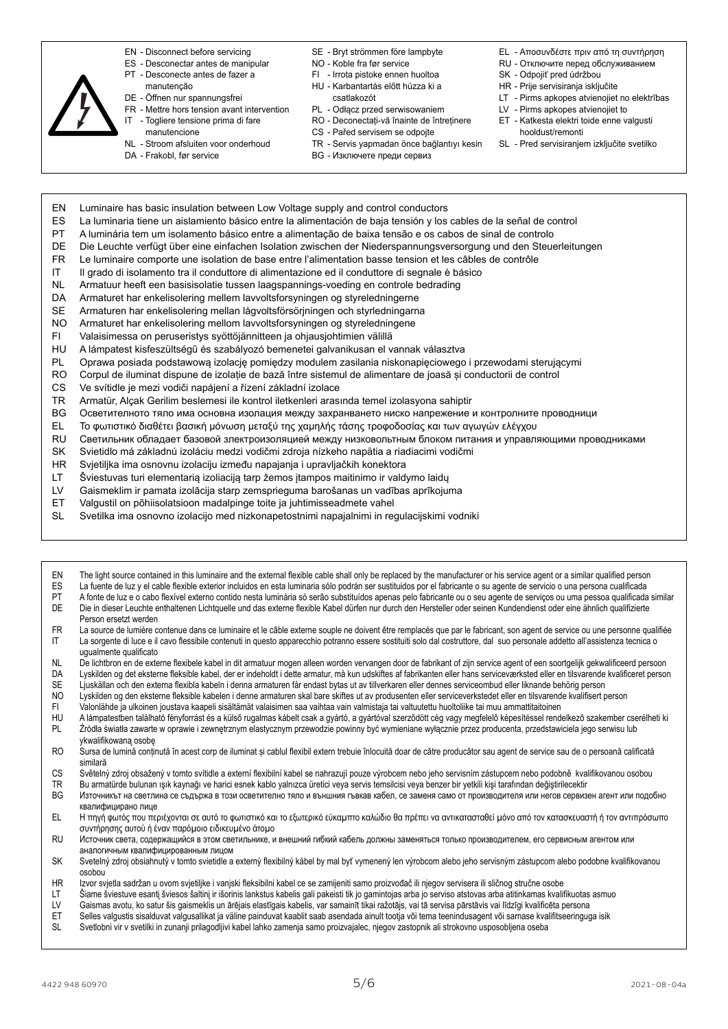- 
- EN Disconnect before servicing
- ES Desconectar antes de manipular
- PT Desconecte antes de fazer a manutenção
- DE Öffnen nur spannungsfrei
- FR Mettre hors tension avant intervention
- IT Togliere tensione prima di fare
	- manutencione
- NL Stroom afsluiten voor onderhoud
- DA Frakobl, før service
- SE Bryt strömmen före lampbyte
- NO Koble fra før service
- FI Irrota pistoke ennen huoltoa
- HU Karbantartás előtt húzza ki a
	- csatlakozót
- PL Odłącz przed serwisowaniem
- RO - Deconectați-vă înainte de întreținere
- CS Pařed servisem se odpojte
- TR - Servis yapmadan önce bağlantıyı kesin
- **BG** Изключете преди сервиз
- EL - Αποσυνδέστε πριν από τη συντήρηση
- RU Отключите перед обслуживанием
- SK Odpojiť pred údržbou
- HR Prije servisiranja isključite
- LT Pirms apkopes atvienojiet no elektrības
- LV Pirms apkopes atvienojiet to
- ET Katkesta elektri toide enne valgusti hooldust/remonti
- SL Pred servisiraniem izkliučite svetilko
- EN Luminaire has basic insulation between Low Voltage supply and control conductors
- ES La luminaria tiene un aislamiento básico entre la alimentación de baja tensión y los cables de la señal de control
- PT A luminária tem um isolamento básico entre a alimentação de baixa tensão e os cabos de sinal de controlo
- DE Die Leuchte verfügt über eine einfachen Isolation zwischen der Niederspannungsversorgung und den Steuerleitungen
- FR Le luminaire comporte une isolation de base entre l'alimentation basse tension et les câbles de contrôle
- IT Il grado di isolamento tra il conduttore di alimentazione ed il conduttore di segnale è básico
- NL Armatuur heeft een basisisolatie tussen laagspannings-voeding en controle bedrading
- DA Armaturet har enkelisolering mellem lavvoltsforsyningen og styreledningerne
- SE Armaturen har enkelisolering mellan lågvoltsförsörjningen och styrledningarna
- NO Armaturet har enkelisolering mellom lavvoltsforsyningen og styreledningene
- FI Valaisimessa on peruseristys syöttöjännitteen ja ohjausjohtimien välillä
- HU A lámpatest kisfeszültségű és szabályozó bemenetei galvanikusan el vannak választva
- PL Oprawa posiada podstawową izolację pomiędzy modulem zasilania niskonapięciowego i przewodami sterującymi
- RO Corpul de iluminat dispune de izolație de bază între sistemul de alimentare de joasă și conductorii de control
- CS Ve svítidle je mezi vodiči napájení a řízení základní izolace
- TR Armatür, Alçak Gerilim beslemesi ile kontrol iletkenleri arasında temel izolasyona sahiptir
- ВG Осветителното тяло има основна изолация между захранването ниско напрежение и контролните проводници
- EL Το φωτιστικό διαθέτει βασική µόνωση µεταξύ της χαµηλής τάσης τροφοδοσίας και των αγωγών ελέγχου
- RU Светильник облaдaeт базовой злeктроизoляциeй между низковольтным блоком питания и управляющими проводниками
- SK Svietidlo má základnú izoláciu medzi vodičmi zdroja nízkeho napätia a riadiacimi vodičmi
- HR Svjetiljka ima osnovnu izolaciju između napajanja i upravljačkih konektora
- LT Šviestuvas turi elementarią izoliaciją tarp žemos įtampos maitinimo ir valdymo laidų
- LV Gaismeklim ir pamata izolācija starp zemsprieguma barošanas un vadības aprīkojuma
- ET Valgustil on põhiisolatsioon madalpinge toite ja juhtimisseadmete vahel
- SL Svetilka ima osnovno izolacijo med nizkonapetostnimi napajalnimi in regulacijskimi vodniki
- EN The light source contained in this luminaire and the external flexible cable shall only be replaced by the manufacturer or his service agent or a similar qualified person<br>ES La fuente de luz v el cable flexible exterior ES La fuente de luz y el cable flexible exterior incluidos en esta luminaria sólo podrán ser sustituidos por el fabricante o su agente de servicio o una persona cualificada<br>PT A fonte de luz e o cabo flexível externo conti PT A fonte de luz e o cabo flexível externo contido nesta luminária só serão substituídos apenas pelo fabricante ou o seu agente de serviços ou uma pessoa qualificada similar<br>Die in dieser Leuchte enthaltenen Lichtquelle u Die in dieser Leuchte enthaltenen Lichtquelle und das externe flexible Kabel dürfen nur durch den Hersteller oder seinen Kundendienst oder eine ähnlich qualifizierte Person ersetzt werden FR La source de lumière contenue dans ce luminaire et le câble externe souple ne doivent être remplacés que par le fabricant, son agent de service ou une personne qualifiée IT La sorgente di luce e il cavo flessibile contenuti in questo apparecchio potranno essere sostituiti solo dal costruttore, dal suo personale addetto all'assistenza tecnica o ugualmente qualificato NL De lichtbron en de externe flexibele kabel in dit armatuur mogen alleen worden vervangen door de fabrikant of zijn service agent of een soortgelijk gekwalificeerd persoon DA Lyskilden og det eksterne fleksible kabel, der er indeholdt i dette armatur, må kun udskiftes af fabrikanten eller hans serviceværksted eller en tilsvarende kvalificeret person SE Ljuskällan och den externa flexibla kabeln i denna armaturen får endast bytas ut av tillverkaren eller dennes serviceombud eller liknande behörig person NO Lyskilden og den eksterne fleksible kabelen i denne armaturen skal bare skiftes ut av produsenten eller serviceverkstedet eller en tilsvarende kvalifisert person
- FI Valonlähde ja ulkoinen joustava kaapeli sisältämät valaisimen saa vaihtaa vain valmistaja tai valtuutettu huoltoliike tai muu ammattitaitoinen
- HU A lámpatestben található fényforrást és a külső rugalmas kábelt csak a gyártó, a gyártóval szerződött cég vagy megfelelő képesítéssel rendelkező szakember cserélheti ki PL Źródła światła zawarte w oprawie i zewnętrznym elastycznym przewodzie powinny być wymieniane wyłącznie przez producenta, przedstawiciela jego serwisu lub ykwalifikowaną osobę
- RO Sursa de lumină conținută în acest corp de iluminat și cablul flexibil extern trebuie înlocuită doar de către producător sau agent de service sau de o persoană calificată similară
- CS Světelný zdroj obsažený v tomto svítidle a externí flexibilní kabel se nahrazují pouze výrobcem nebo jeho servisním zástupcem nebo podobně kvalifikovanou osobou
- 
- TR Bu armatürde bulunan ışık kaynağı ve harici esnek kablo yalnızca üretici veya servis temsilcisi veya benzer bir yetkili kişi tarafından değiştirilecektir<br>TG Karovникът на светлина се съдържа в този осветително тяло и в Източникът на светлина се съдържа в този осветително тяло и външния гъвкав кабел, се заменя само от производителя или негов сервизен агент или подобно квалифицирано лице
- EL Η πηγή φωτός που περιέχονται σε αυτό το φωτιστικό και το εξωτερικό εύκαµπτο καλώδιο θα πρέπει να αντικατασταθεί µόνο από τον κατασκευαστή ή τον αντιπρόσωπο συντήρησης αυτού ή έναν παρόµοιο ειδικευµένο άτοµο
- RU Источник света, содержащийся в этом светильнике, и внешний гибкий кабель должны заменяться только производителем, его сервисным агентом или аналогичным квалифицированным лицом
- SK Svetelný zdroj obsiahnutý v tomto svietidle a externý flexibilný kábel by mal byť vymenený len výrobcom alebo jeho servisným zástupcom alebo podobne kvalifikovanou osobou
- HR Izvor svjetla sadržan u ovom svjetiljke i vanjski fleksibilni kabel ce se zamijeniti samo proizvođač ili njegov servisera ili sličnog stručne osobe
- LT Šiame šviestuve esantį šviesos šaltinį ir išorinis lankstus kabelis gali pakeisti tik jo gamintojas arba jo serviso atstovas arba atitinkamas kvalifikuotas asmuo
- LV Gaismas avotu, ko satur šis gaismeklis un ārējais elastīgais kabelis, var samainīt tikai ražotājs, vai tā servisa pārstāvis vai līdzīgi kvalificēta persona<br>ET Selles valgustis sisalduvat valgusallikat ja väline painduva
- Selles valgustis sisalduvat valgusallikat ja väline painduvat kaablit saab asendada ainult tootja või tema teenindusagent või samase kvalifitseeringuga isik
- SL Svetlobni vir v svetilki in zunanji prilagodljivi kabel lahko zamenja samo proizvajalec, njegov zastopnik ali strokovno usposobljena oseba